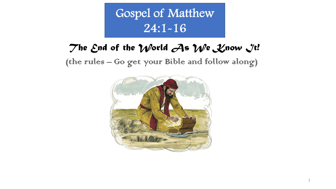Gospel of Matthew 24:1-16

## The End of the *World As We Know It!*

(the rules – Go get your Bible and follow along)



1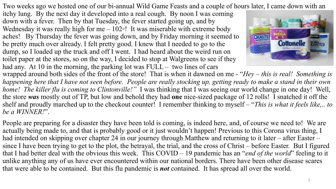Two weeks ago we hosted one of our bi-annual Wild Game Feasts and a couple of hours later, I came down with an

itchy lung. By the next day it developed into a real cough. By noon I was coming down with a fever. Then by that Tuesday, the fever started going up, and by Wednesday it was really high for me  $-102°$ ! It was miserable with extreme body aches! By Thursday the fever was going down, and by Friday morning it seemed to be pretty much over already. I felt pretty good. I knew that I needed to go to the dump, so I loaded up the truck and off I went. I had heard about the weird run on toilet paper at the stores, so on the way, I decided to stop at Walgreens to see if they had any. At 10 in the morning, the parking lot was  $FULL -$  two lines of cars



wrapped around both sides of the front of the store! That is when it dawned on me - "*Hey – this is real! Something is happening here that I have not seen before. People are really stocking up, getting ready to make a stand in their own home! The killer flu is coming to Clintonville!"* I was thinking that I was seeing our world change in one day! Well, the store *was* mostly out of TP, but low and behold they had **one** nice-sized package of 12 rolls! I snatched it off the shelf and proudly marched up to the checkout counter! I remember thinking to myself – "*This is what it feels like,.. to be a WINNER!*".

People are preparing for a disaster they have been told is coming, is indeed here, and, of course we need to! We are actually being made to, and that is probably good or it just wouldn't happen! Previous to this Corona virus thing, I had intended on skipping over chapter 24 in our journey through Matthew and returning to it later – after Easter – since I have been trying to get to the plot, the betrayal, the trial, and the cross of Christ – before Easter. But I figured that I had better deal with the obvious this week. This COVID – 19 pandemic has an "*end of the world*" feeling to it unlike anything any of us have ever encountered within our national borders. There have been other disease scares that were able to be contained. But this flu pandemic is *not* contained. It has spread all over the world.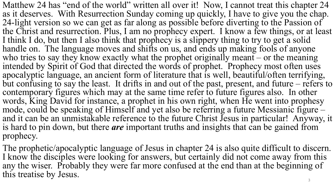Matthew 24 has "end of the world" written all over it! Now, I cannot treat this chapter 24 as it deserves. With Resurrection Sunday coming up quickly, I have to give you the chap. 24-light version so we can get as far along as possible before diverting to the Passion of the Christ and resurrection. Plus, I am no prophecy expert. I know a few things, or at least I think I do, but then I also think that prophecy is a slippery thing to try to get a solid handle on. The language moves and shifts on us, and ends up making fools of anyone who tries to say they know exactly what the prophet originally meant – or the meaning intended by Spirit of God that directed the words of prophet. Prophecy most often uses apocalyptic language, an ancient form of literature that is well, beautiful/often terrifying, but confusing to say the least. It drifts in and out of the past, present, and future – refers to contemporary figures which may at the same time refer to future figures also. In other words, King David for instance, a prophet in his own right, when He went into prophesy mode, could be speaking of Himself and yet also be referring a future Messianic figure – and it can be an unmistakable reference to the future Christ Jesus in particular! Anyway, it is hard to pin down, but there *are* important truths and insights that can be gained from prophecy.

The prophetic/apocalyptic language of Jesus in chapter 24 is also quite difficult to discern. I know the disciples were looking for answers, but certainly did not come away from this any the wiser. Probably they were far more confused at the end than at the beginning of this treatise by Jesus. 3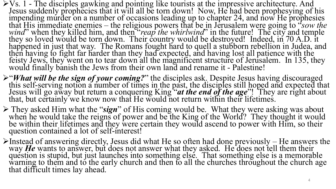- $V$ S. 1 The disciples gawking and pointing like tourists at the impressive architecture. And Jesus suddenly prophecies that it will all be torn down! Now, He had been prophesying of his impending murder on a number of occasions leading up to chapter 24, and now He prophesies that His immediate enemies – the religious powers that be in Jerusalem were going to "*sow the wind*" when they killed him, and then *"reap the whirlwind*" in the future! The city and temple they so loved would be torn down. Their country would be destroyed! Indeed, in 70 A.D. it happened in just that way. The Romans fought hard to quell a stubborn rebellion in Judea, and then having to fight far harder than they had expected, and having lost all patience with the feisty Jews, they went on to tear down all the magnificent structure of Jerusalem. In 135, they would finally banish the Jews from their own land and rename it - Palestine!
- $\triangleright$ "What will be the sign of your coming?" the disciples ask. Despite Jesus having discouraged<br>this self-serving notion a number of times in the past, the disciples still hoped and expected that<br>Jesus will go away but
- <sup>Ø</sup> They asked Him what the "*sign*" of His coming would be. What they were asking was about when he would take the reigns of power and be the King of the World? They thought it would be within their lifetimes and they were certain they would ascend to power with Him, so their question contained a lot of self-interest!
- $\blacktriangleright$ Instead of answering directly, Jesus did what He so often had done previously He answers the way **He** wants to answer, but does not answer what they asked. He does not tell them their way *He* wants to answer, but does not answer what they asked. He does not tell them their question is stupid, but just launches into something else. That something else is a memorable warning to them and to the early church and then to all the churches throughout the church age that difficult times lay ahead.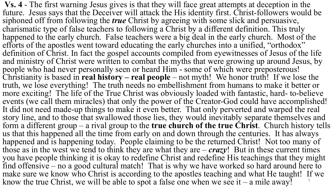**Vs. 4** - The first warning Jesus gives is that they will face great attempts at deception in the future. Jesus says that the Deceiver will attack the His identity first. Christ-followers would be siphoned off from following the *true* Christ by agreeing with some slick and persuasive, charismatic type of false teachers to following a Christ by a different definition. This truly happened to the early church. False teachers were a big deal in the early church. Most of the efforts of the apostles went toward educating the early churches into a unified, "orthodox" definition of Christ. In fact the gospel accounts compiled from eyewitnesses of Jesus of the life and ministry of Christ were written to combat the myths that were growing up around Jesus, by people who had never personally seen or heard Him - some of which were preposterous! Christianity is based in **real history – real people** – not myth! We honor truth! If we lose the truth, we lose everything! The truth needs no embellishment from humans to make it better or more exciting! The life of the True Christ was obviously loaded with fantastic, hard- to-believe events (we call them miracles) that only the power of the Creator-God could have accomplished! It did not need made-up things to make it even better. That only perverted and warped the real story line, and to those that swallowed those lies, they would inevitably separate themselves and form a different group – a rival group to the **true church of the true Christ**. Church history tells us that this happened all the time from early on and down through the centuries. It has always happened and is happening today. People claiming to be the returned Christ! Not too many of those as in the west we tend to think they are what they are  $-$  *crazy*! But in these current times you have people thinking it is okay to redefine Christ and redefine His teachings that they might find offensive – no a good cultural match! That is why we have worked so hard around here to make sure we know who Christ is according to the apostles teaching and what He taught! If we know the true Christ, we will be able to spot a false one when we see it – a mile away!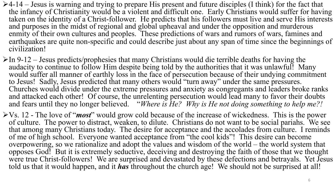- $\geq 4$ -14 Jesus is warning and trying to prepare His present and future disciples (I think) for the fact that the infancy of Christianity would be a violent and difficult one. Early Christians would suffer for having taken on the identity of a Christ-follower. He predicts that his followers must live and serve His interests and purposes in the midst of regional and global upheaval and under the opposition and murderous enmity of their own cultures and peoples. These predictions of wars and rumors of wars, famines and earthquakes are quite non-specific and could describe just about any span of time since the beginnings of civilization!
- $\triangleright$  In 9-12 Jesus predicts/prophesies that many Christians would die terrible deaths for having the audacity to continue to follow Him despite being told by the authorities that it was unlawful! Many would suffer all manner of earthly loss in the face of persecution because of their undying commitment to Jesus! Sadly, Jesus predicted that many others would "turn away" under the same pressures. Churches would divide under the extreme pressures and anxiety as congregants and leaders broke ranks and attacked each other! Of course, the unrelenting persecution would lead many to favor their doubts and fears until they no longer believed. "*Where is He? Why is He not doing something to help me?!*
- ØVs. 12 The love of "*most*" would grow cold because of the increase of wickedness. This is the power of culture. The power to distract, weaken, to dilute. Christians do not want to be social pariahs. We see that among many Christians today. The desire for acceptance and the accolades from culture. I reminds of me of high school. Everyone wanted acceptance from "the cool kids"! This desire can become overpowering, so we rationalize and adopt the values and wisdom of the world – the world system that opposes God! But it is extremely seductive, deceiving and destroying the faith of those that we thought were true Christ-followers! We are surprised and devastated by these defections and betrayals. Yet Jesus told us that it would happen, and it *has* throughout the church age! We should not be surprised at all!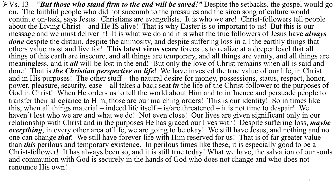ØVs. 13 – "*But those who stand firm to the end will be saved!"* Despite the setbacks, the gospel would go on. The faithful people who did not succumb to the pressures and the siren song of culture would continue on-task, says Jesus. Christians are evangelists. It is who we are! Christ-followers tell people about the Living Christ – and He IS alive! That is why Easter is so important to us! But this is our message and we must deliver it! It is what we do and it is what the true followers of Jesus have *always done* despite the distain, despite the animosity, and despite suffering loss in all the earthly things that others value most and live for! **This latest virus scare** forces us to realize at a deeper level that all things of this earth are insecure, and all things are temporary, and all things are vanity, and all things are meaningless, and it *all* will be lost in the end! But only the love of Christ remains when all is said and done! That is *the Christian perspective on life*! We have invested the true value of our life, in Christ and in His purposes! The other stuff – the natural desire for money, possessions, status, respect, honor, power, pleasure, security, ease – all takes a back seat *in* the life of the Christ-follower to the purposes of God in Christ! When He orders us to tell the world about Him and to influence and persuade people to transfer their allegiance to Him, those are our marching orders! This is our identity! So in times like this, when all things material – indeed life itself – is/are threatened – it is not time to despair! We haven't lost who we are and what we do! Not even close! Our lives are given significant only in our relationship with Christ and in the purposes He has graced our lives with! Despite suffering loss, *maybe everything*, in every other area of life, we are going to be okay! We still have Jesus, and nothing and no one can change *that*! We still have forever-life with Him reserved for us! That is of far greater value than *this* perilous and temporary existence. In perilous times like these, it is especially good to be a Christ-follower! It has always been so, and it is still true today! What we have, the salvation of our souls and communion with God is securely in the hands of God who does not change and who does not renounce His own!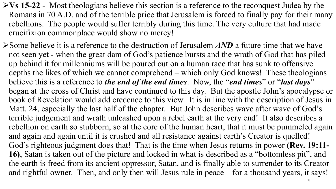- Ø**Vs 15-22**  Most theologians believe this section is a reference to the reconquest Judea by the Romans in 70 A.D. and of the terrible price that Jerusalem is forced to finally pay for their many rebellions. The people would suffer terribly during this time. The very culture that had made crucifixion commonplace would show no mercy!
- ØSome believe it is a reference to the destruction of Jerusalem *AND* a future time that we have not seen yet - when the great dam of God's patience bursts and the wrath of God that has piled up behind it for millenniums will be poured out on a human race that has sunk to offensive depths the likes of which we cannot comprehend – which only God knows! These theologians believe this is a reference to *the end of the end times*. Now, the "*end times*" or "*last days*" began at the cross of Christ and have continued to this day. But the apostle John's apocalypse or book of Revelation would add credence to this view. It is in line with the description of Jesus in Matt. 24, especially the last half of the chapter. But John describes wave after wave of God's terrible judgement and wrath unleashed upon a rebel earth at the very end! It also describes a rebellion on earth so stubborn, so at the core of the human heart, that it must be pummeled again and again and again until it is crushed and all resistance against earth's Creator is quelled! God's righteous judgment does that! That is the time when Jesus returns in power **(Rev. 19:11- 16)**, Satan is taken out of the picture and locked in what is described as a "bottomless pit", and the earth is freed from its ancient oppressor, Satan, and is finally able to surrender to its Creator and rightful owner. Then, and only then will Jesus rule in peace – for a thousand years, it says!